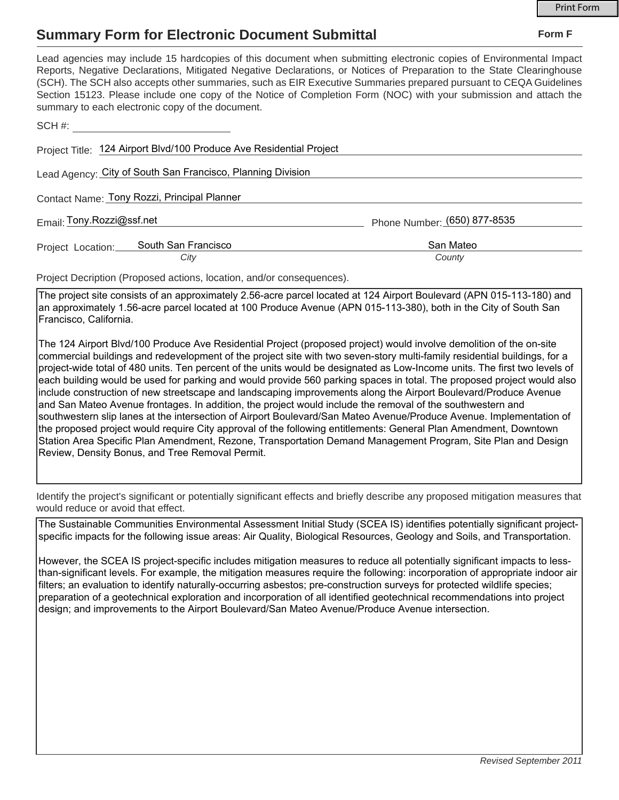## **Summary Form for Electronic Document Submittal**

| Lead agencies may include 15 hardcopies of this document when submitting electronic copies of Environmental Impact<br>Reports, Negative Declarations, Mitigated Negative Declarations, or Notices of Preparation to the State Clearinghouse<br>(SCH). The SCH also accepts other summaries, such as EIR Executive Summaries prepared pursuant to CEQA Guidelines<br>Section 15123. Please include one copy of the Notice of Completion Form (NOC) with your submission and attach the<br>summary to each electronic copy of the document. |                              |
|-------------------------------------------------------------------------------------------------------------------------------------------------------------------------------------------------------------------------------------------------------------------------------------------------------------------------------------------------------------------------------------------------------------------------------------------------------------------------------------------------------------------------------------------|------------------------------|
| SCH #:                                                                                                                                                                                                                                                                                                                                                                                                                                                                                                                                    |                              |
| Project Title: 124 Airport Blvd/100 Produce Ave Residential Project                                                                                                                                                                                                                                                                                                                                                                                                                                                                       |                              |
| Lead Agency: City of South San Francisco, Planning Division                                                                                                                                                                                                                                                                                                                                                                                                                                                                               |                              |
| Contact Name: Tony Rozzi, Principal Planner                                                                                                                                                                                                                                                                                                                                                                                                                                                                                               |                              |
| Email: Tony.Rozzi@ssf.net                                                                                                                                                                                                                                                                                                                                                                                                                                                                                                                 | Phone Number: (650) 877-8535 |
| South San Francisco<br>Project Location:                                                                                                                                                                                                                                                                                                                                                                                                                                                                                                  | San Mateo                    |
| City                                                                                                                                                                                                                                                                                                                                                                                                                                                                                                                                      | County                       |
| Project Decription (Proposed actions, location, and/or consequences).                                                                                                                                                                                                                                                                                                                                                                                                                                                                     |                              |
| The project site consists of an approximately 2.56-acre parcel located at 124 Airport Roulevard (APN 015-113-180) and                                                                                                                                                                                                                                                                                                                                                                                                                     |                              |

The project site consists of an approximately 2.56-acre parcel located at 124 Airport Boulevard (APN 015-113-180) and an approximately 1.56-acre parcel located at 100 Produce Avenue (APN 015-113-380), both in the City of South San Francisco, California.

The 124 Airport Blvd/100 Produce Ave Residential Project (proposed project) would involve demolition of the on-site commercial buildings and redevelopment of the project site with two seven-story multi-family residential buildings, for a project-wide total of 480 units. Ten percent of the units would be designated as Low-Income units. The first two levels of each building would be used for parking and would provide 560 parking spaces in total. The proposed project would also include construction of new streetscape and landscaping improvements along the Airport Boulevard/Produce Avenue and San Mateo Avenue frontages. In addition, the project would include the removal of the southwestern and southwestern slip lanes at the intersection of Airport Boulevard/San Mateo Avenue/Produce Avenue. Implementation of the proposed project would require City approval of the following entitlements: General Plan Amendment, Downtown Station Area Specific Plan Amendment, Rezone, Transportation Demand Management Program, Site Plan and Design Review, Density Bonus, and Tree Removal Permit.

Identify the project's significant or potentially significant effects and briefly describe any proposed mitigation measures that would reduce or avoid that effect.

The Sustainable Communities Environmental Assessment Initial Study (SCEA IS) identifies potentially significant projectspecific impacts for the following issue areas: Air Quality, Biological Resources, Geology and Soils, and Transportation.

However, the SCEA IS project-specific includes mitigation measures to reduce all potentially significant impacts to lessthan-significant levels. For example, the mitigation measures require the following: incorporation of appropriate indoor air filters; an evaluation to identify naturally-occurring asbestos; pre-construction surveys for protected wildlife species; preparation of a geotechnical exploration and incorporation of all identified geotechnical recommendations into project design; and improvements to the Airport Boulevard/San Mateo Avenue/Produce Avenue intersection.